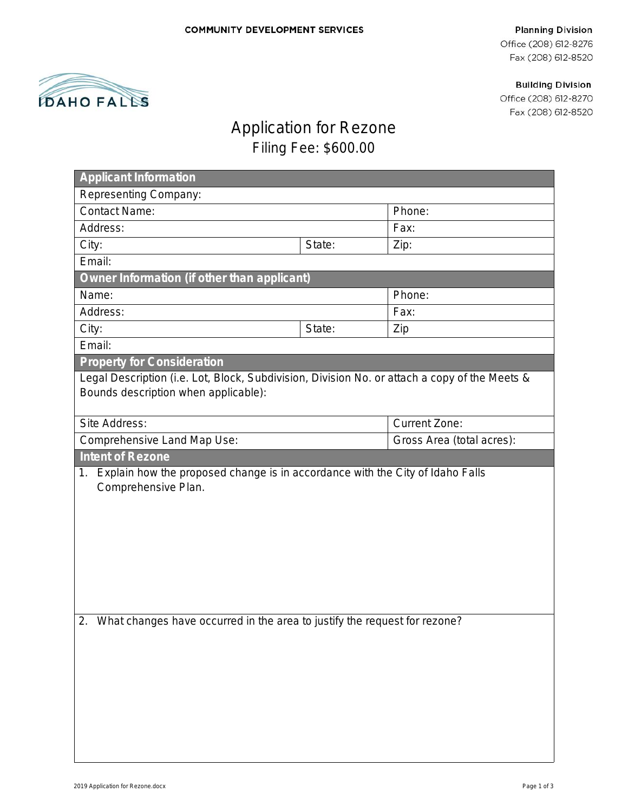#### **Planning Division**

Office (208) 612-8276 Fax (208) 612-8520

**Building Division** 

Office (208) 612-8270 Fax (208) 612-8520

# Application for Rezone

Ž

**DAHO FALLS** 

## Filing Fee: \$600.00

| Representing Company:                                                                                                                 |        |                           |  |
|---------------------------------------------------------------------------------------------------------------------------------------|--------|---------------------------|--|
|                                                                                                                                       |        |                           |  |
| <b>Contact Name:</b>                                                                                                                  | Phone: |                           |  |
| Address:                                                                                                                              |        | Fax:                      |  |
| City:                                                                                                                                 | State: | Zip:                      |  |
| Email:                                                                                                                                |        |                           |  |
| Owner Information (if other than applicant)                                                                                           |        |                           |  |
| Name:                                                                                                                                 |        | Phone:                    |  |
| Address:                                                                                                                              |        |                           |  |
| City:                                                                                                                                 | State: | Zip                       |  |
| Email:                                                                                                                                |        |                           |  |
| <b>Property for Consideration</b>                                                                                                     |        |                           |  |
| Legal Description (i.e. Lot, Block, Subdivision, Division No. or attach a copy of the Meets &<br>Bounds description when applicable): |        |                           |  |
| Site Address:                                                                                                                         |        | <b>Current Zone:</b>      |  |
| Comprehensive Land Map Use:                                                                                                           |        | Gross Area (total acres): |  |
| <b>Intent of Rezone</b>                                                                                                               |        |                           |  |
| Explain how the proposed change is in accordance with the City of Idaho Falls<br>1.<br>Comprehensive Plan.                            |        |                           |  |
|                                                                                                                                       |        |                           |  |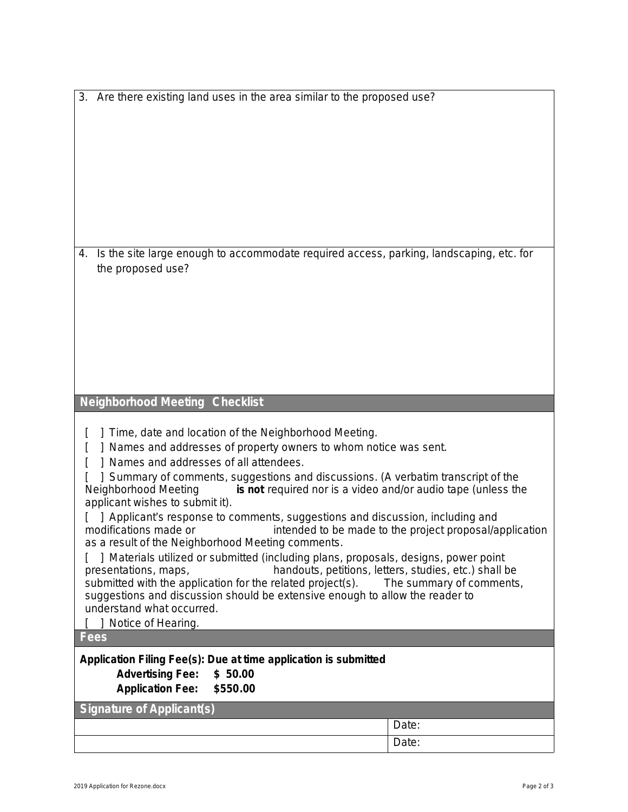|  |  | 3. Are there existing land uses in the area similar to the proposed use? |
|--|--|--------------------------------------------------------------------------|
|  |  |                                                                          |

4. Is the site large enough to accommodate required access, parking, landscaping, etc. for the proposed use?

## **Neighborhood Meeting Checklist**

[ ] Time, date and location of the Neighborhood Meeting.

[ ] Names and addresses of property owners to whom notice was sent.

[ ] Names and addresses of all attendees.

[ ] Summary of comments, suggestions and discussions. (A verbatim transcript of the Neighborhood Meeting **is not** required nor is a video and/or audio tape (unless the applicant wishes to submit it).

[ ] Applicant's response to comments, suggestions and discussion, including and modifications made or intended to be made to the project proposal/a intended to be made to the project proposal/application as a result of the Neighborhood Meeting comments.

[ ] Materials utilized or submitted (including plans, proposals, designs, power point presentations, maps, handouts, petitions, letters, studies, etc.) shall be submitted with the application for the related project(s). The summary of comments, suggestions and discussion should be extensive enough to allow the reader to understand what occurred.

[ ] Notice of Hearing.

**Fees**

### **Application Filing Fee(s): Due at time application is submitted**

**Advertising Fee: \$ 50.00 Application Fee: \$550.00**

**Signature of Applicant(s)**

Date: Date: